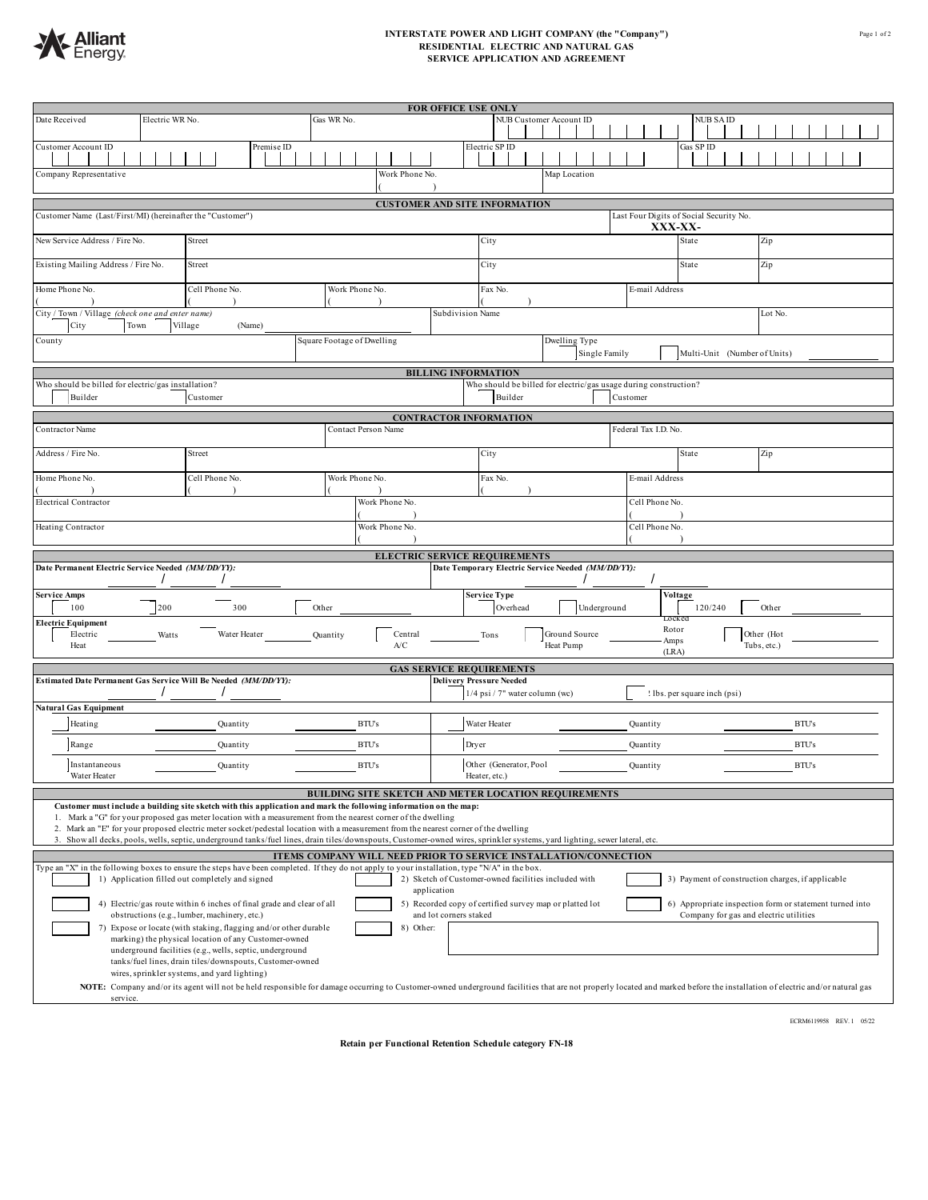

## **INTERSTATE POWER AND LIGHT COMPANY (the "Company") RESIDENTIAL ELECTRIC AND NATURAL GAS SERVICE APPLICATION AND AGREEMENT**

| Date Received                                                                                                                                                                                                                                                                                                                                                                                                                                                                                                                                           | Electric WR No.                                    | <b>FOR OFFICE USE ONLY</b><br>NUB Customer Account ID<br>Gas WR No.<br><b>NUB SAID</b> |                                                    |                                                                   |                                                                                                          |  |  |  |  |  |  |
|---------------------------------------------------------------------------------------------------------------------------------------------------------------------------------------------------------------------------------------------------------------------------------------------------------------------------------------------------------------------------------------------------------------------------------------------------------------------------------------------------------------------------------------------------------|----------------------------------------------------|----------------------------------------------------------------------------------------|----------------------------------------------------|-------------------------------------------------------------------|----------------------------------------------------------------------------------------------------------|--|--|--|--|--|--|
| Customer Account ID                                                                                                                                                                                                                                                                                                                                                                                                                                                                                                                                     | Premise ID                                         |                                                                                        | Electric SP ID                                     | Gas SP ID                                                         |                                                                                                          |  |  |  |  |  |  |
| Company Representative<br>Work Phone No<br>Map Location                                                                                                                                                                                                                                                                                                                                                                                                                                                                                                 |                                                    |                                                                                        |                                                    |                                                                   |                                                                                                          |  |  |  |  |  |  |
|                                                                                                                                                                                                                                                                                                                                                                                                                                                                                                                                                         |                                                    |                                                                                        |                                                    |                                                                   |                                                                                                          |  |  |  |  |  |  |
| <b>CUSTOMER AND SITE INFORMATION</b><br>Customer Name (Last/First/MI) (hereinafter the "Customer")<br>Last Four Digits of Social Security No.<br>XXX-XX-                                                                                                                                                                                                                                                                                                                                                                                                |                                                    |                                                                                        |                                                    |                                                                   |                                                                                                          |  |  |  |  |  |  |
| New Service Address / Fire No.<br>Street                                                                                                                                                                                                                                                                                                                                                                                                                                                                                                                |                                                    |                                                                                        | City                                               | State                                                             | Zip                                                                                                      |  |  |  |  |  |  |
| Existing Mailing Address / Fire No.<br>Street                                                                                                                                                                                                                                                                                                                                                                                                                                                                                                           |                                                    |                                                                                        | City                                               | State                                                             | Zip                                                                                                      |  |  |  |  |  |  |
| Home Phone No.<br>Cell Phone No.<br>Work Phone No.                                                                                                                                                                                                                                                                                                                                                                                                                                                                                                      |                                                    |                                                                                        |                                                    | Fax No.<br>E-mail Address                                         |                                                                                                          |  |  |  |  |  |  |
| City / Town / Village (check one and enter name)<br>Lot No.<br>Subdivision Name<br>Town<br>City<br>Village<br>(Name)                                                                                                                                                                                                                                                                                                                                                                                                                                    |                                                    |                                                                                        |                                                    |                                                                   |                                                                                                          |  |  |  |  |  |  |
| County                                                                                                                                                                                                                                                                                                                                                                                                                                                                                                                                                  |                                                    | Square Footage of Dwelling                                                             |                                                    | Dwelling Type<br>Single Family                                    | Multi-Unit (Number of Units)                                                                             |  |  |  |  |  |  |
| <b>BILLING INFORMATION</b>                                                                                                                                                                                                                                                                                                                                                                                                                                                                                                                              |                                                    |                                                                                        |                                                    |                                                                   |                                                                                                          |  |  |  |  |  |  |
| Who should be billed for electric/gas usage during construction?<br>Who should be billed for electric/gas installation?<br>Builder<br>Customer<br>Builder<br>Customer                                                                                                                                                                                                                                                                                                                                                                                   |                                                    |                                                                                        |                                                    |                                                                   |                                                                                                          |  |  |  |  |  |  |
|                                                                                                                                                                                                                                                                                                                                                                                                                                                                                                                                                         |                                                    |                                                                                        | <b>CONTRACTOR INFORMATION</b>                      |                                                                   |                                                                                                          |  |  |  |  |  |  |
| Contractor Name                                                                                                                                                                                                                                                                                                                                                                                                                                                                                                                                         |                                                    | Contact Person Name                                                                    |                                                    | Federal Tax I.D. No                                               |                                                                                                          |  |  |  |  |  |  |
| Address / Fire No.                                                                                                                                                                                                                                                                                                                                                                                                                                                                                                                                      | Street                                             |                                                                                        | City                                               | State                                                             | Zip                                                                                                      |  |  |  |  |  |  |
|                                                                                                                                                                                                                                                                                                                                                                                                                                                                                                                                                         | Work Phone No.<br>Home Phone No.<br>Cell Phone No. |                                                                                        |                                                    | Fax No.<br>E-mail Address                                         |                                                                                                          |  |  |  |  |  |  |
| Work Phone No<br>Cell Phone No.<br><b>Electrical Contractor</b>                                                                                                                                                                                                                                                                                                                                                                                                                                                                                         |                                                    |                                                                                        |                                                    |                                                                   |                                                                                                          |  |  |  |  |  |  |
| Heating Contractor<br>Work Phone No.<br>Cell Phone No.                                                                                                                                                                                                                                                                                                                                                                                                                                                                                                  |                                                    |                                                                                        |                                                    |                                                                   |                                                                                                          |  |  |  |  |  |  |
|                                                                                                                                                                                                                                                                                                                                                                                                                                                                                                                                                         |                                                    |                                                                                        | <b>ELECTRIC SERVICE REQUIREMENTS</b>               |                                                                   |                                                                                                          |  |  |  |  |  |  |
| Date Permanent Electric Service Needed (MM/DD/YY):                                                                                                                                                                                                                                                                                                                                                                                                                                                                                                      |                                                    |                                                                                        | Date Temporary Electric Service Needed (MM/DD/YY): |                                                                   |                                                                                                          |  |  |  |  |  |  |
| <b>Service Amps</b><br>Other<br>100<br>200<br>300                                                                                                                                                                                                                                                                                                                                                                                                                                                                                                       |                                                    |                                                                                        | Overhead                                           | <b>Service Type</b><br>Voltage<br>Underground<br>120/240<br>Other |                                                                                                          |  |  |  |  |  |  |
| <b>Electric Equipment</b><br>Electric<br>Heat                                                                                                                                                                                                                                                                                                                                                                                                                                                                                                           | Water Heater<br>Watts                              | Central<br>Quantity<br>A/C                                                             | Tons<br>Heat Pump                                  | <b>LOCK et</b><br>Rotor<br>Ground Source<br>Amps<br>(LRA)         | Other (Hot<br>Tubs, etc.)                                                                                |  |  |  |  |  |  |
| <b>GAS SERVICE REQUIREMENTS</b>                                                                                                                                                                                                                                                                                                                                                                                                                                                                                                                         |                                                    |                                                                                        |                                                    |                                                                   |                                                                                                          |  |  |  |  |  |  |
| Estimated Date Permanent Gas Service Will Be Needed (MM/DD/YY):<br><b>Delivery Pressure Needed</b><br>$1/4$ psi $/7$ " water column (wc)<br>! lbs. per square inch (psi)                                                                                                                                                                                                                                                                                                                                                                                |                                                    |                                                                                        |                                                    |                                                                   |                                                                                                          |  |  |  |  |  |  |
| Natural Gas Equipment<br><b>BTU's</b><br><b>BTU's</b><br>Heating<br>Water Heater<br>Quantity<br>Quantity                                                                                                                                                                                                                                                                                                                                                                                                                                                |                                                    |                                                                                        |                                                    |                                                                   |                                                                                                          |  |  |  |  |  |  |
| Range                                                                                                                                                                                                                                                                                                                                                                                                                                                                                                                                                   | Quantity                                           | <b>BTU's</b>                                                                           | Dryer                                              | Quantity                                                          | BTU's                                                                                                    |  |  |  |  |  |  |
| Instantaneous<br>Water Heater                                                                                                                                                                                                                                                                                                                                                                                                                                                                                                                           | Quantity                                           | <b>BTU's</b>                                                                           | Other (Generator, Pool<br>Heater, etc.)            | Quantity                                                          | <b>BTU's</b>                                                                                             |  |  |  |  |  |  |
| BUILDING SITE SKETCH AND METER LOCATION REQUIREMENTS                                                                                                                                                                                                                                                                                                                                                                                                                                                                                                    |                                                    |                                                                                        |                                                    |                                                                   |                                                                                                          |  |  |  |  |  |  |
| Customer must include a building site sketch with this application and mark the following information on the map:<br>1. Mark a "G" for your proposed gas meter location with a measurement from the nearest corner of the dwelling<br>2. Mark an "E" for your proposed electric meter socket/pedestal location with a measurement from the nearest corner of the dwelling<br>3. Show all decks, pools, wells, septic, underground tanks/fuel lines, drain tiles/downspouts, Customer-owned wires, sprinkler systems, yard lighting, sewer lateral, etc. |                                                    |                                                                                        |                                                    |                                                                   |                                                                                                          |  |  |  |  |  |  |
| ITEMS COMPANY WILL NEED PRIOR TO SERVICE INSTALLATION/CONNECTION                                                                                                                                                                                                                                                                                                                                                                                                                                                                                        |                                                    |                                                                                        |                                                    |                                                                   |                                                                                                          |  |  |  |  |  |  |
| Type an "X" in the following boxes to ensure the steps have been completed. If they do not apply to your installation, type "N/A" in the box.<br>3) Payment of construction charges, if applicable<br>1) Application filled out completely and signed<br>2) Sketch of Customer-owned facilities included with                                                                                                                                                                                                                                           |                                                    |                                                                                        |                                                    |                                                                   |                                                                                                          |  |  |  |  |  |  |
| application<br>4) Electric/gas route within 6 inches of final grade and clear of all<br>5) Recorded copy of certified survey map or platted lot<br>6) Appropriate inspection form or statement turned into                                                                                                                                                                                                                                                                                                                                              |                                                    |                                                                                        |                                                    |                                                                   |                                                                                                          |  |  |  |  |  |  |
| obstructions (e.g., lumber, machinery, etc.)<br>and lot corners staked<br>Company for gas and electric utilities<br>7) Expose or locate (with staking, flagging and/or other durable<br>8)<br>Other:                                                                                                                                                                                                                                                                                                                                                    |                                                    |                                                                                        |                                                    |                                                                   |                                                                                                          |  |  |  |  |  |  |
| marking) the physical location of any Customer-owned<br>underground facilities (e.g., wells, septic, underground                                                                                                                                                                                                                                                                                                                                                                                                                                        |                                                    |                                                                                        |                                                    |                                                                   |                                                                                                          |  |  |  |  |  |  |
|                                                                                                                                                                                                                                                                                                                                                                                                                                                                                                                                                         |                                                    |                                                                                        |                                                    |                                                                   | tanks/fuel lines, drain tiles/downspouts, Customer-owned<br>wires, sprinkler systems, and yard lighting) |  |  |  |  |  |  |
|                                                                                                                                                                                                                                                                                                                                                                                                                                                                                                                                                         |                                                    |                                                                                        |                                                    |                                                                   |                                                                                                          |  |  |  |  |  |  |

ECRM6119958 REV. 1 05/22

**Retain per Functional Retention Schedule category FN-18**